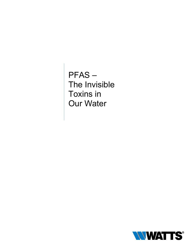PFAS – The Invisible Toxins in Our Water

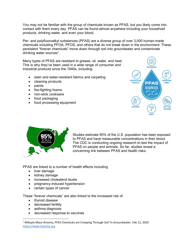You may not be familiar with the group of chemicals known as PFAS, but you likely come into contact with them every day. PFAS can be found almost anywhere including your household products, drinking water, and even your blood.

Per- and polyfluoroalkyl substances (PFAS) are a diverse group of over 3,000 human-made chemicals including PFOA, PFOS, and others that do not break down in the environment. These persistent "forever chemicals" move down through soil into groundwater and contaminate drinking water sources<sup>[1](#page-1-0)</sup>.

Many types of PFAS are resistant to grease, oil, water, and heat. This is why they've been used in a wide range of consumer and industrial products since the 1940s, including:

- stain and water-resistant fabrics and carpeting
- cleaning products
- paints
- fire-fighting foams
- non-stick cookware
- food packaging
- food processing equipment





Studies estimate 95% of the U.S. population has been exposed to PFAS and have measurable concentrations in their blood. The CDC is conducting ongoing research to test the impact of PFAS on people and animals. So far, studies reveal a concerning link between PFAS and health risks.

PFAS are linked to a number of health effects including

- liver damage
- kidney damage
- increased cholesterol levels
- pregnancy-induced hypertension
- certain types of cancer

These "forever chemicals" are also linked to the increased risk of

- thyroid disease
- decreased fertility
- asthma diagnosis
- decreased response to vaccines

<span id="page-1-0"></span> <sup>1</sup> Mikayla Mace-Arizona, PFAS Chemicals are Creeping Through Soil To Groundwater. Feb 12, 2020 [https://www.futurity.org](https://www.futurity.org/)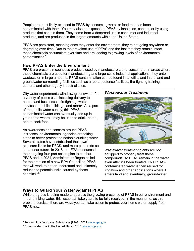People are most likely exposed to PFAS by consuming water or food that has been contaminated with them. You may also be exposed to PFAS by inhalation, contact, or by using products that contain them. They come from widespread use in consumer and industrial products, and are produced in the largest amounts within the United States.

PFAS are persistent, meaning once they enter the environment, they're not going anywhere or degrading over time. Due to the prevalent use of PFAS and the fact that they remain intact, these chemicals accumulate over time and are leading to growing levels of environmental contamination<sup>[2](#page-2-0)</sup>.

## **How PFAS Enter the Environment**

PFAS are present in countless products used by manufacturers and consumers. In areas where these chemicals are used for manufacturing and large-scale industrial applications, they enter wastewater in large amounts. PFAS contamination can be found in landfills, and in the land and groundwater surrounding facilities such as airports, defense facilities, fire-fighting training centers, and other legacy industrial sites.

City water departments withdraw groundwater for a variety of public uses including delivery to homes and businesses, firefighting, water services at public buildings, and more $^3$  $^3$ . As a part of the public water supply, this PFAScontaminated water can eventually end up in your home where it may be used to drink, bathe, and to cook food.

As awareness and concern around PFAS increases, environmental agencies are taking steps to better protect the nation's drinking water. Several states have established their own exposure limits for PFAS, and more plan to do so in the near future. In 2018, the EPA announced their ongoing four-part action plan to combat PFAS and in 2021, Administrator Regan called for the creation of a new EPA Council on PFAS that will work to better understand and ultimately reduce the potential risks caused by these chemical $s^3$ .



Wastewater treatment plants are not equipped to properly treat these compounds, so PFAS remain in the water even after it's been treated. This PFAScontaminated water is then reused for irrigation and other applications where it enters land and eventually, groundwater.

# **Ways to Guard Your Water Against PFAS**

While progress is being made to address the growing presence of PFAS in our environment and in our drinking water, this issue can take years to be fully resolved. In the meantime, as this problem persists, there are ways you can take action to protect your home water supply from PFAS now.

<span id="page-2-0"></span> <sup>2</sup> Per- and Polyfluoroalkyl Substances (PFAS). 2021 [www.epa.gov](https://www.epa.gov/pfas)

<span id="page-2-1"></span><sup>&</sup>lt;sup>3</sup> Groundwater Use in the United States. 2015. [www.usgs.gov](https://www.usgs.gov/special-topic/water-science-school/science/groundwater-use-united-states?qt-science_center_objects=0#qt-science_center_objects)